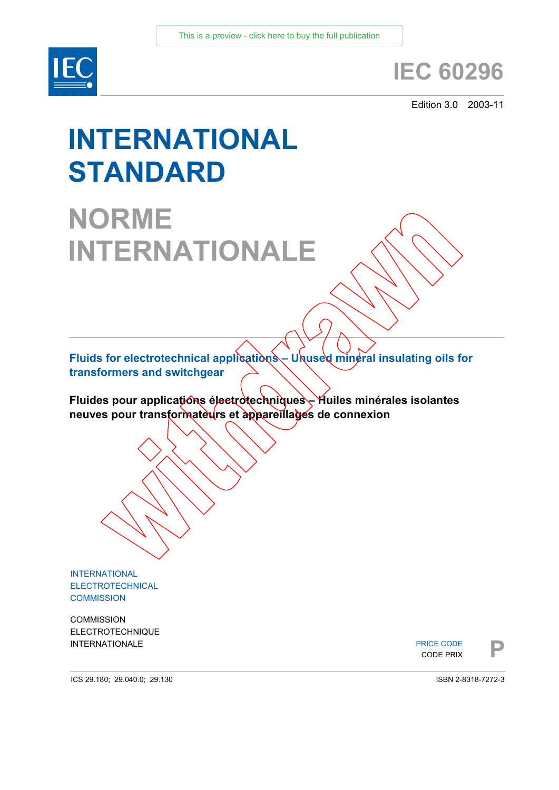

## **IEC 60296**

Edition 3.0 2003-11

# **INTERNATIONAL STANDARD**

**NORME INTERNATIONALE**

**Fluids for electrotechnical applications – Unused mineral insulating oils for transformers and switchgear** 

**Fluides pour applications électrotechniques – Huiles minérales isolantes neuves pour transformateurs et appareillages de connexion** 

INTERNATIONAL ELECTROTECHNICAL **COMMISSION** 

**COMMISSION** ELECTROTECHNIQUE

INTERNATIONALE PRICE CODE PRICE CODE PRICE CODE PRICE CODE PRICE CODE PRIX PRICE CODE CODE PRIX



ICS 29.180; 29.040.0; 29.130

ISBN 2-8318-7272-3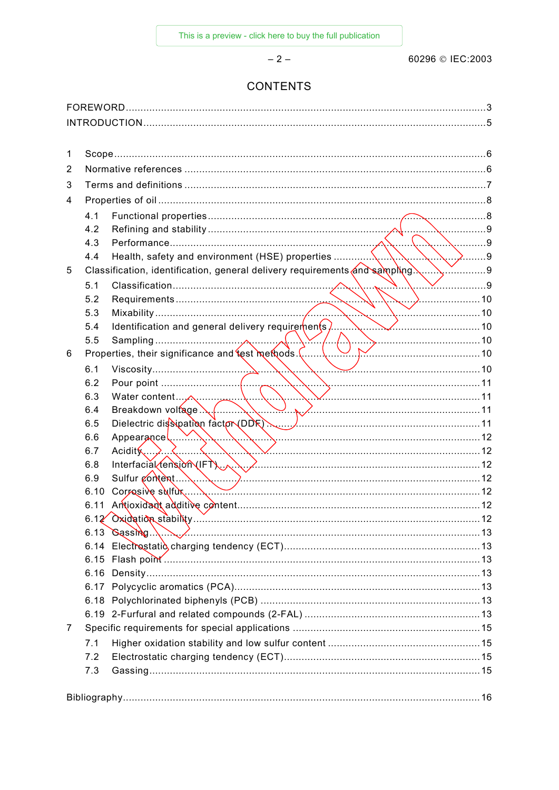### **CONTENTS**

 $-2-$ 

| 1              |      |                                                                                                                                                                                                                                                                         |    |  |  |
|----------------|------|-------------------------------------------------------------------------------------------------------------------------------------------------------------------------------------------------------------------------------------------------------------------------|----|--|--|
| 2              |      |                                                                                                                                                                                                                                                                         |    |  |  |
|                |      |                                                                                                                                                                                                                                                                         |    |  |  |
| 3              |      |                                                                                                                                                                                                                                                                         |    |  |  |
| 4              |      |                                                                                                                                                                                                                                                                         |    |  |  |
|                | 4.1  |                                                                                                                                                                                                                                                                         |    |  |  |
|                | 4.2  |                                                                                                                                                                                                                                                                         |    |  |  |
|                | 4.3  |                                                                                                                                                                                                                                                                         |    |  |  |
|                | 4.4  |                                                                                                                                                                                                                                                                         |    |  |  |
| 5              |      | Classification, identification, general delivery requirements and sampling9                                                                                                                                                                                             |    |  |  |
|                | 5.1  | 4. 9                                                                                                                                                                                                                                                                    |    |  |  |
|                | 5.2  | $\sim$ 10                                                                                                                                                                                                                                                               |    |  |  |
|                | 5.3  |                                                                                                                                                                                                                                                                         |    |  |  |
|                | 5.4  | $\vee$ 10<br>Identification and general delivery requirements).                                                                                                                                                                                                         |    |  |  |
|                | 5.5  | $\left\langle \begin{array}{c} 1 & 0 \\ 0 & 0 \end{array} \right\rangle$                                                                                                                                                                                                |    |  |  |
| 6              |      | Properties, their significance and test methods.                                                                                                                                                                                                                        |    |  |  |
|                | 6.1  |                                                                                                                                                                                                                                                                         |    |  |  |
|                | 6.2  |                                                                                                                                                                                                                                                                         |    |  |  |
|                | 6.3  |                                                                                                                                                                                                                                                                         |    |  |  |
|                | 6.4  |                                                                                                                                                                                                                                                                         |    |  |  |
|                | 6.5  | Dielectric dissipation factor (DDR)                                                                                                                                                                                                                                     |    |  |  |
|                | 6.6  |                                                                                                                                                                                                                                                                         |    |  |  |
|                | 6.7  | <u> 12 maart - Amerikaans Santa Barat (amalin 12 maart - 12 maart - 12 maart - 12 maart - 12 maart - 12 maart - 12 maart - 12 maart - 12 maart - 12 maart - 12 maart - 12 maart - 12 maart - 12 maart - 12 maart - 12 maart - 12</u><br>Acidit $\langle \ldots \rangle$ |    |  |  |
|                | 6.8  |                                                                                                                                                                                                                                                                         |    |  |  |
|                | 6.9  |                                                                                                                                                                                                                                                                         |    |  |  |
|                | 6.10 | Corrosive sulfux                                                                                                                                                                                                                                                        |    |  |  |
|                | 6.11 |                                                                                                                                                                                                                                                                         |    |  |  |
|                |      | 6.12 Oxidation stability                                                                                                                                                                                                                                                | 12 |  |  |
|                |      |                                                                                                                                                                                                                                                                         |    |  |  |
|                |      |                                                                                                                                                                                                                                                                         |    |  |  |
|                |      |                                                                                                                                                                                                                                                                         |    |  |  |
|                |      |                                                                                                                                                                                                                                                                         |    |  |  |
|                |      |                                                                                                                                                                                                                                                                         |    |  |  |
|                |      |                                                                                                                                                                                                                                                                         |    |  |  |
|                |      |                                                                                                                                                                                                                                                                         |    |  |  |
| $\overline{7}$ |      |                                                                                                                                                                                                                                                                         |    |  |  |
|                | 7.1  |                                                                                                                                                                                                                                                                         |    |  |  |
|                | 7.2  |                                                                                                                                                                                                                                                                         |    |  |  |
|                | 7.3  |                                                                                                                                                                                                                                                                         |    |  |  |
|                |      |                                                                                                                                                                                                                                                                         |    |  |  |
|                |      |                                                                                                                                                                                                                                                                         |    |  |  |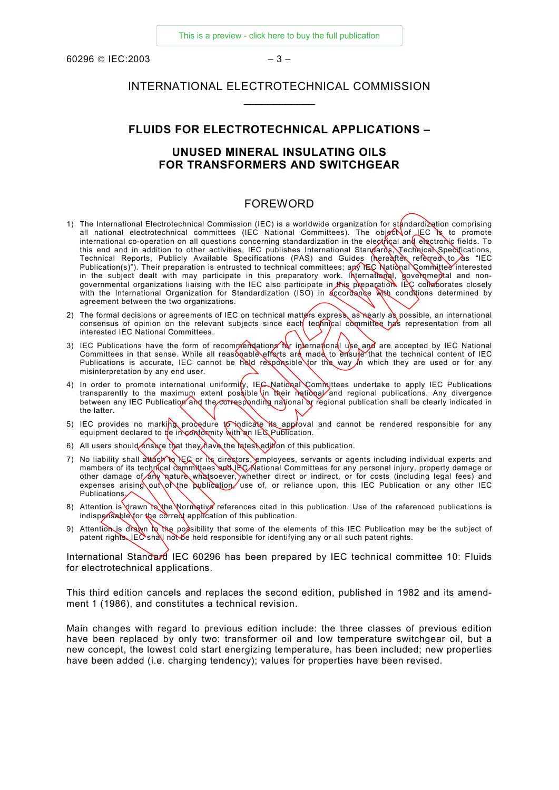$60296$  © IFC:2003 – 3 –

#### INTERNATIONAL ELECTROTECHNICAL COMMISSION  $\frac{1}{2}$

#### **FLUIDS FOR ELECTROTECHNICAL APPLICATIONS –**

#### **UNUSED MINERAL INSULATING OILS FOR TRANSFORMERS AND SWITCHGEAR**

#### FOREWORD

- 1) The International Electrotechnical Commission (IEC) is a worldwide organization for standardization comprising all national electrotechnical committees (IEC National Committees). The object of IEC is to promote international co-operation on all questions concerning standardization in the electrical and electronic fields. To this end and in addition to other activities, IEC publishes International Standards, Technical Specifications, Technical Reports, Publicly Available Specifications (PAS) and Guides (nereafter referred to as "IEC Publication(s)"). Their preparation is entrusted to technical committees; any IEC National Committee interested in the subject dealt with may participate in this preparatory work. International, governmental and nongovernmental organizations liaising with the IEC also participate in this preparation. IEC collaborates closely with the International Organization for Standardization (ISO) in accordance With conditions determined by agreement between the two organizations.
- 2) The formal decisions or agreements of IEC on technical matters express, as nearly as possible, an international consensus of opinion on the relevant subjects since each technical committee has representation from all interested IEC National Committees.
- 3) IEC Publications have the form of recommendations for international use and are accepted by IEC National Committees in that sense. While all reasonable efforts are made to ensure that the technical content of IEC Publications is accurate, IEC cannot be held responsible for the way in which they are used or for any misinterpretation by any end user.
- 4) In order to promote international uniformity, IEC National Committees undertake to apply IEC Publications transparently to the maximum extent possible in their mational and regional publications. Any divergence between any IEC Publication and the corresponding national or regional publication shall be clearly indicated in the latter.
- 5) IEC provides no marking procedure to indicate its approval and cannot be rendered responsible for any equipment declared to be in conformity with an IEC Publication.
- 6) All users should ensure that they have the latest edition of this publication.
- 7) No liability shall attach to IEG or its directors, employees, servants or agents including individual experts and members of its technical committees and IEC National Committees for any personal injury, property damage or other damage of any nature whatsoever, whether direct or indirect, or for costs (including legal fees) and expenses arising out of the publication, use of, or reliance upon, this IEC Publication or any other IEC Publications.
- 8) Attention is drawn to the Normative references cited in this publication. Use of the referenced publications is indispensable for the correct application of this publication.
- 9) Attention is drawn to the possibility that some of the elements of this IEC Publication may be the subject of patent rights. IEC shall not be held responsible for identifying any or all such patent rights.

International Standard IEC 60296 has been prepared by IEC technical committee 10: Fluids for electrotechnical applications.

This third edition cancels and replaces the second edition, published in 1982 and its amendment 1 (1986), and constitutes a technical revision.

Main changes with regard to previous edition include: the three classes of previous edition have been replaced by only two: transformer oil and low temperature switchgear oil, but a new concept, the lowest cold start energizing temperature, has been included; new properties have been added (i.e. charging tendency); values for properties have been revised.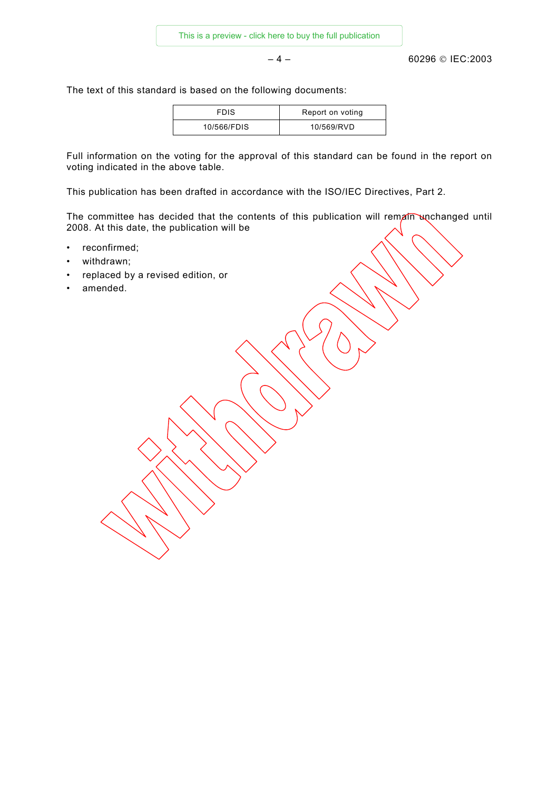– 4 – 60296 © IEC:2003

The text of this standard is based on the following documents:

| <b>FDIS</b> | Report on voting |
|-------------|------------------|
| 10/566/FDIS | 10/569/RVD       |

Full information on the voting for the approval of this standard can be found in the report on voting indicated in the above table.

This publication has been drafted in accordance with the ISO/IEC Directives, Part 2.

The committee has decided that the contents of this publication will remain unchanged until 2008. At this date, the publication will be

- reconfirmed;
- withdrawn;
- replaced by a revised edition, or
- amended.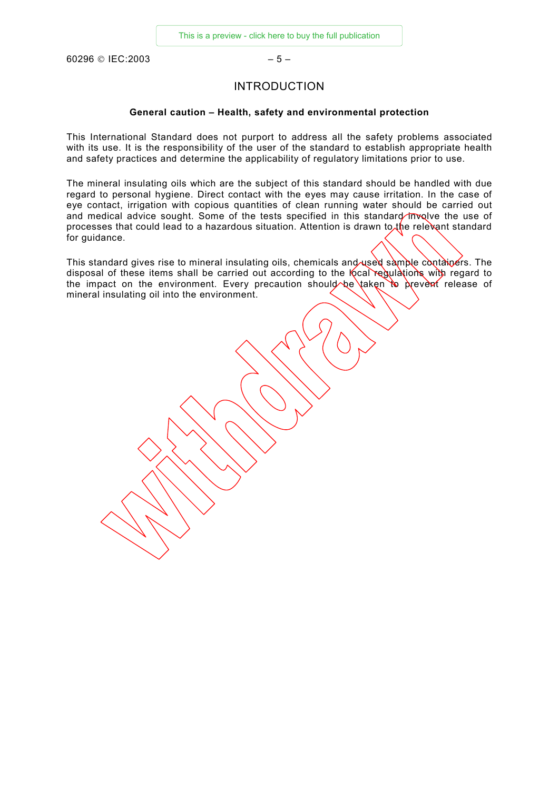<span id="page-4-0"></span> $60296 \odot$  IEC:2003 – 5

#### INTRODUCTION

#### **General caution – Health, safety and environmental protection**

This International Standard does not purport to address all the safety problems associated with its use. It is the responsibility of the user of the standard to establish appropriate health and safety practices and determine the applicability of regulatory limitations prior to use.

The mineral insulating oils which are the subject of this standard should be handled with due regard to personal hygiene. Direct contact with the eyes may cause irritation. In the case of eye contact, irrigation with copious quantities of clean running water should be carried out and medical advice sought. Some of the tests specified in this standard involve the use of processes that could lead to a hazardous situation. Attention is drawn to the relevant standard for quidance.

This standard gives rise to mineral insulating oils, chemicals and used sample containers. The disposal of these items shall be carried out according to the local regulations with regard to the impact on the environment. Every precaution should be taken to prevent release of mineral insulating oil into the environment.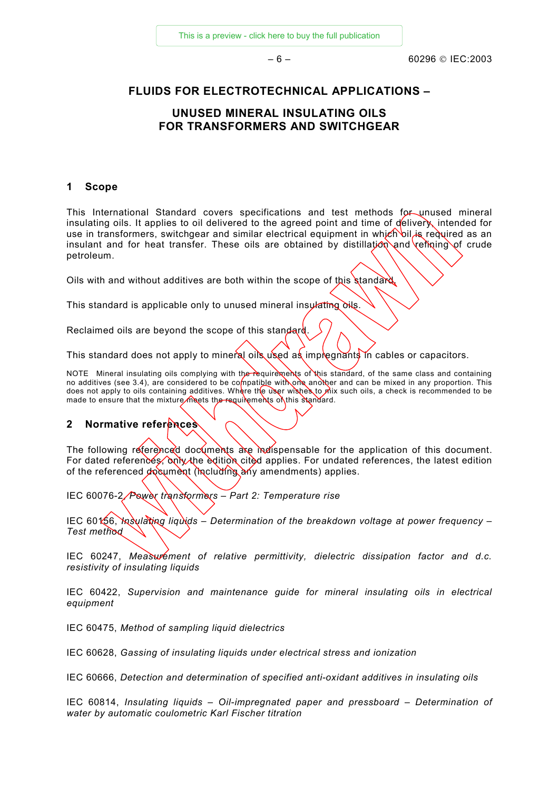#### <span id="page-5-0"></span>**FLUIDS FOR ELECTROTECHNICAL APPLICATIONS –**

#### **UNUSED MINERAL INSULATING OILS FOR TRANSFORMERS AND SWITCHGEAR**

#### **1 Scope**

This International Standard covers specifications and test methods for unused mineral insulating oils. It applies to oil delivered to the agreed point and time of  $\frac{d}{dt}$  delivery, intended for use in transformers, switchgear and similar electrical equipment in which oil is required as an insulant and for heat transfer. These oils are obtained by distillation and refining of crude petroleum.

Oils with and without additives are both within the scope of this standard.

This standard is applicable only to unused mineral insulating oils.

Reclaimed oils are beyond the scope of this standard.

This standard does not apply to mineral oils used as impregnants in cables or capacitors.

NOTE Mineral insulating oils complying with the requirements of this standard, of the same class and containing no additives (see 3.4), are considered to be compatible with one another and can be mixed in any proportion. This does not apply to oils containing additives. Where the user wishes to mix such oils, a check is recommended to be made to ensure that the mixture meets the requirements of this standard.

#### **2 Normative references**

The following referenced documents are indispensable for the application of this document. For dated references, only the edition cited applies. For undated references, the latest edition of the referenced document (including any amendments) applies.

IEC 60076-2, *Power transformers – Part 2: Temperature rise*

IEC 60156, *Insulating liquids – Determination of the breakdown voltage at power frequency – Test method* 

IEC 60247, *Measurement of relative permittivity, dielectric dissipation factor and d.c. resistivity of insulating liquids*

IEC 60422, *Supervision and maintenance guide for mineral insulating oils in electrical equipment*

IEC 60475, *Method of sampling liquid dielectrics*

IEC 60628, *Gassing of insulating liquids under electrical stress and ionization*

IEC 60666, *Detection and determination of specified anti-oxidant additives in insulating oils* 

IEC 60814, *Insulating liquids – Oil-impregnated paper and pressboard – Determination of water by automatic coulometric Karl Fischer titration*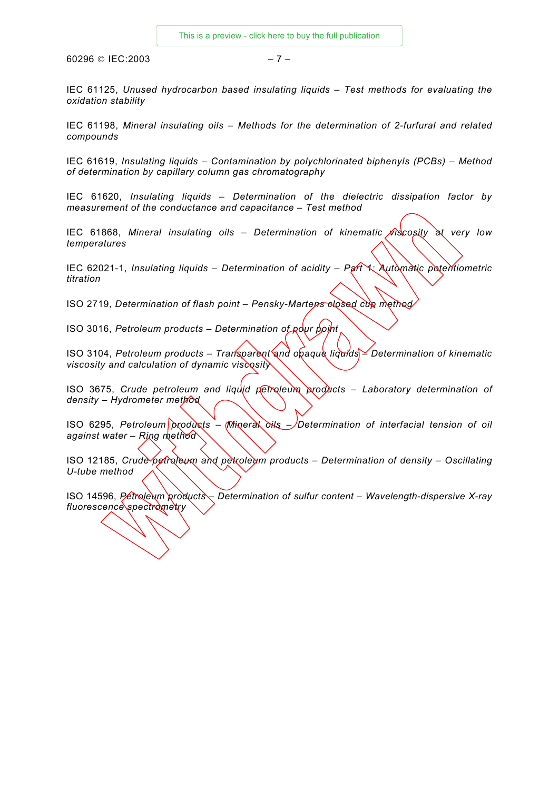<span id="page-6-0"></span> $60296 \odot$  IEC:2003 – 7 –

IEC 61125, *Unused hydrocarbon based insulating liquids – Test methods for evaluating the oxidation stability*

IEC 61198, *Mineral insulating oils – Methods for the determination of 2-furfural and related compounds*

IEC 61619, *Insulating liquids – Contamination by polychlorinated biphenyls (PCBs) – Method of determination by capillary column gas chromatography* 

IEC 61620, *Insulating liquids – Determination of the dielectric dissipation factor by measurement of the conductance and capacitance – Test method* 

IEC 61868, *Mineral insulating oils – Determination of kinematic viscosity at very low temperatures* 

IEC 62021-1, *Insulating liquids – Determination of acidity – Part 1: Automatic potentiometric titration* 

ISO 2719, *Determination of flash point – Pensky-Martens closed cup method* 

ISO 3016, *Petroleum products – Determination of pour point*

 $\mathbf{v}$  this document, the following definitions apply

 $\sim$  1  $\sim$ 

ISO 3104, *Petroleum products – Transparent and opaque liquids – Determination of kinematic viscosity and calculation of dynamic viscosity*

ISO 3675, *Crude petroleum and liquid petroleum products – Laboratory determination of density – Hydrometer method* 

ISO 6295, *Petroleum products – Mineral oils – Determination of interfacial tension of oil against water – Ring method*

ISO 12185, *Crude petroleum and petroleum products – Determination of density – Oscillating U-tube method*

ISO 14596, *Petroleum products – Determination of sulfur content – Wavelength-dispersive X-ray fluorescence spectrometry*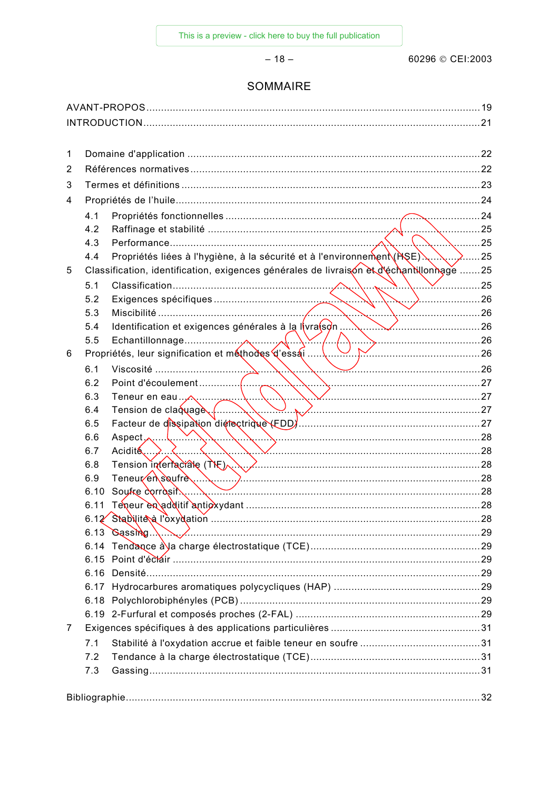$-18-$ 

#### SOMMAIRE

| 1 |      |                                                                                                                                                                                                                                |    |  |  |  |  |
|---|------|--------------------------------------------------------------------------------------------------------------------------------------------------------------------------------------------------------------------------------|----|--|--|--|--|
| 2 |      |                                                                                                                                                                                                                                |    |  |  |  |  |
|   |      |                                                                                                                                                                                                                                |    |  |  |  |  |
| 3 |      |                                                                                                                                                                                                                                |    |  |  |  |  |
| 4 |      |                                                                                                                                                                                                                                |    |  |  |  |  |
|   | 4.1  |                                                                                                                                                                                                                                |    |  |  |  |  |
|   | 4.2  |                                                                                                                                                                                                                                |    |  |  |  |  |
|   | 4.3  | $\frac{1}{2}$ 25                                                                                                                                                                                                               |    |  |  |  |  |
|   | 4.4  | Propriétés liées à l'hygiène, à la sécurité et à l'environnement (HSE) \\mind{\mind{\mind{\mind{\mind{\mind{\mind{\mind{\mind{\mind{\mind{\mind{\mind{\mind{\mind{\mind{\mind{\mind{\mind{\mind{\mind{\mind{\mind{\mind{\mind{ |    |  |  |  |  |
| 5 |      | Classification, identification, exigences générales de livraison et d'échantillonnage 25                                                                                                                                       |    |  |  |  |  |
|   | 5.1  | . <sup>.</sup> 25                                                                                                                                                                                                              |    |  |  |  |  |
|   | 5.2  |                                                                                                                                                                                                                                |    |  |  |  |  |
|   | 5.3  |                                                                                                                                                                                                                                |    |  |  |  |  |
|   | 5.4  | $\sqrt{26}$<br>Identification et exigences générales à la luvra (son.                                                                                                                                                          |    |  |  |  |  |
|   | 5.5  | $/$ $/$ $\sim$                                                                                                                                                                                                                 |    |  |  |  |  |
| 6 |      | Propriétés, leur signification et méthodes d'essai.                                                                                                                                                                            |    |  |  |  |  |
|   | 6.1  |                                                                                                                                                                                                                                |    |  |  |  |  |
|   | 6.2  |                                                                                                                                                                                                                                |    |  |  |  |  |
|   | 6.3  | NN                                                                                                                                                                                                                             |    |  |  |  |  |
|   | 6.4  | Tension de claquage<br>$\sim$ 27                                                                                                                                                                                               |    |  |  |  |  |
|   | 6.5  |                                                                                                                                                                                                                                |    |  |  |  |  |
|   | 6.6  | Aspect <sub>A</sub>                                                                                                                                                                                                            |    |  |  |  |  |
|   | 6.7  | Acidits $\langle \ldots \rangle$                                                                                                                                                                                               |    |  |  |  |  |
|   | 6.8  | Tension interfactale (TH) 7. Annumerical communities and the 28                                                                                                                                                                |    |  |  |  |  |
|   | 6.9  | Teneur en soufre 28                                                                                                                                                                                                            |    |  |  |  |  |
|   | 6.10 | Source corrosity                                                                                                                                                                                                               |    |  |  |  |  |
|   | 6.11 |                                                                                                                                                                                                                                |    |  |  |  |  |
|   |      | 6.12 Stabilite a l'oxydation                                                                                                                                                                                                   | 28 |  |  |  |  |
|   |      |                                                                                                                                                                                                                                |    |  |  |  |  |
|   | 6.14 |                                                                                                                                                                                                                                |    |  |  |  |  |
|   |      |                                                                                                                                                                                                                                |    |  |  |  |  |
|   | 6.16 |                                                                                                                                                                                                                                |    |  |  |  |  |
|   |      |                                                                                                                                                                                                                                |    |  |  |  |  |
|   |      |                                                                                                                                                                                                                                |    |  |  |  |  |
|   |      |                                                                                                                                                                                                                                |    |  |  |  |  |
| 7 |      |                                                                                                                                                                                                                                |    |  |  |  |  |
|   | 7.1  |                                                                                                                                                                                                                                |    |  |  |  |  |
|   | 7.2  |                                                                                                                                                                                                                                |    |  |  |  |  |
|   | 7.3  |                                                                                                                                                                                                                                |    |  |  |  |  |
|   |      |                                                                                                                                                                                                                                |    |  |  |  |  |
|   |      |                                                                                                                                                                                                                                |    |  |  |  |  |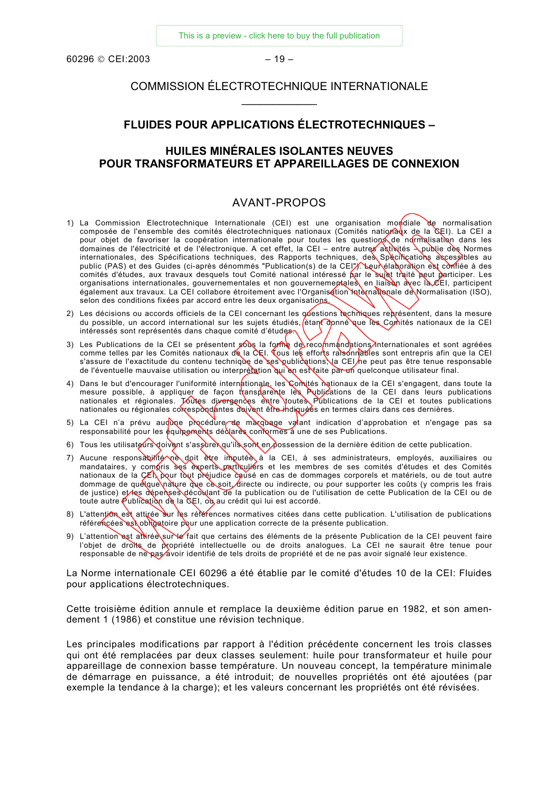60296 © CEI:2003 – 19 –

#### COMMISSION ÉLECTROTECHNIQUE INTERNATIONALE  $\frac{1}{2}$

#### **FLUIDES POUR APPLICATIONS ÉLECTROTECHNIQUES –**

#### **HUILES MINÉRALES ISOLANTES NEUVES POUR TRANSFORMATEURS ET APPAREILLAGES DE CONNEXION**

#### AVANT-PROPOS

- 1) La Commission Electrotechnique Internationale (CEI) est une organisation mondiale de normalisation composée de l'ensemble des comités électrotechniques nationaux (Comités nationaux de la CEI). La CEI a pour objet de favoriser la coopération internationale pour toutes les questions de normalisation dans les domaines de l'électricité et de l'électronique. A cet effet, la CEI – entre autres activités – publie des Normes internationales, des Spécifications techniques, des Rapports techniques, des Spécifications accessibles au public (PAS) et des Guides (ci-après dénommés "Publication(s) de la CEI"). Leur élaboration est confiée à des comités d'études, aux travaux desquels tout Comité national intéressé par le sujet traité peut participer. Les organisations internationales, gouvernementales et non gouvernementales, en liaison avec la CEI, participent également aux travaux. La CEI collabore étroitement avec l'Organisation Internationale de Normalisation (ISO), selon des conditions fixées par accord entre les deux organisations.
- 2) Les décisions ou accords officiels de la CEI concernant les questions techniques représentent, dans la mesure du possible, un accord international sur les sujets étudiés, étan Opnné que les Comités nationaux de la CEI intéressés sont représentés dans chaque comité d'études.
- 3) Les Publications de la CEI se présentent  $\sinh \theta$  la forme de recommandations internationales et sont agréées comme telles par les Comités nationaux de la CEI. Lous les efforts raisonnables sont entrepris afin que la CEI s'assure de l'exactitude du contenu technique de ses qublications; la CEI ne peut pas être tenue responsable de l'éventuelle mauvaise utilisation ou interprétation qui en est faite par un quelconque utilisateur final.
- 4) Dans le but d'encourager l'uniformité internationale, les Comités nationaux de la CEI s'engagent, dans toute la mesure possible, à appliquer de façon transparente les Publications de la CEI dans leurs publications nationales et régionales. Joutes divergences entre toutes Publications de la CEI et toutes publications nationales ou régionales convespondantes doivent être indiquées en termes clairs dans ces dernières.
- 5) La CEI n'a prévu audune procédure de marquage valant indication d'approbation et n'engage pas sa responsabilité pour les équipements déclarés conformes à une de ses Publications.
- 6) Tous les utilisateurs doivent s'assure qu'ils sont en possession de la dernière édition de cette publication.
- 7) Aucune responsabilité ne doit être imputée à la CEI, à ses administrateurs, employés, auxiliaires ou mandataires, y compris ses experts particuliers et les membres de ses comités d'études et des Comités nationaux de la CEI, pour tout préjudice causé en cas de dommages corporels et matériels, ou de tout autre dommage de quélque nature que ce soit, directe ou indirecte, ou pour supporter les coûts (y compris les frais de justice) et les dépenses découlant de la publication ou de l'utilisation de cette Publication de la CEI ou de toute autre *Publication* de la CEI, ou au crédit qui lui est accordé.
- 8) L'attention est attirée sur les références normatives citées dans cette publication. L'utilisation de publications référencées est obligatoire pour une application correcte de la présente publication.
- 9) L'attention est attirée sur le fait que certains des éléments de la présente Publication de la CEI peuvent faire l'objet de droits de propriété intellectuelle ou de droits analogues. La CEI ne saurait être tenue pour responsable de ne pas avoir identifié de tels droits de propriété et de ne pas avoir signalé leur existence.

La Norme internationale CEI 60296 a été établie par le comité d'études 10 de la CEI: Fluides pour applications électrotechniques.

Cette troisième édition annule et remplace la deuxième édition parue en 1982, et son amendement 1 (1986) et constitue une révision technique.

Les principales modifications par rapport à l'édition précédente concernent les trois classes qui ont été remplacées par deux classes seulement: huile pour transformateur et huile pour appareillage de connexion basse température. Un nouveau concept, la température minimale de démarrage en puissance, a été introduit; de nouvelles propriétés ont été ajoutées (par exemple la tendance à la charge); et les valeurs concernant les propriétés ont été révisées.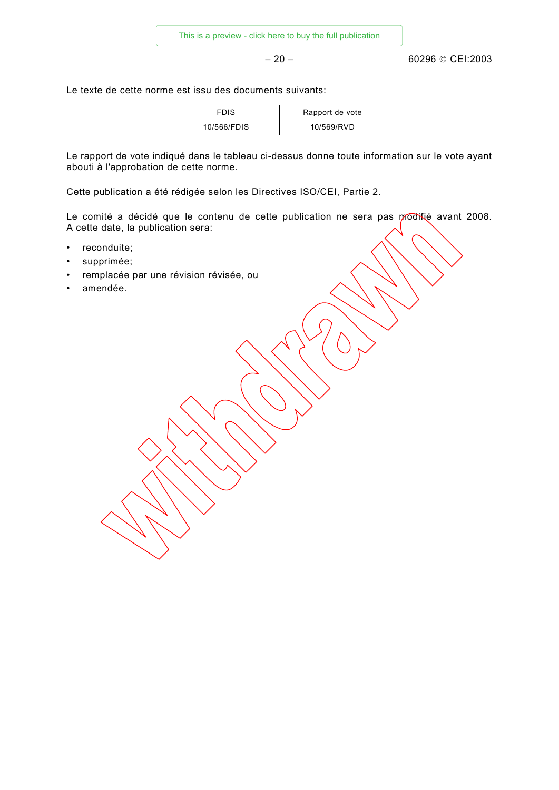– 20 – 60296 © CEI:2003

Le texte de cette norme est issu des documents suivants:

| <b>FDIS</b> | Rapport de vote |
|-------------|-----------------|
| 10/566/FDIS | 10/569/RVD      |

Le rapport de vote indiqué dans le tableau ci-dessus donne toute information sur le vote ayant abouti à l'approbation de cette norme.

Cette publication a été rédigée selon les Directives ISO/CEI, Partie 2.

Le comité a décidé que le contenu de cette publication ne sera pas modifié avant 2008. A cette date, la publication sera:

- reconduite;
- supprimée;
- remplacée par une révision révisée, ou
- amendée.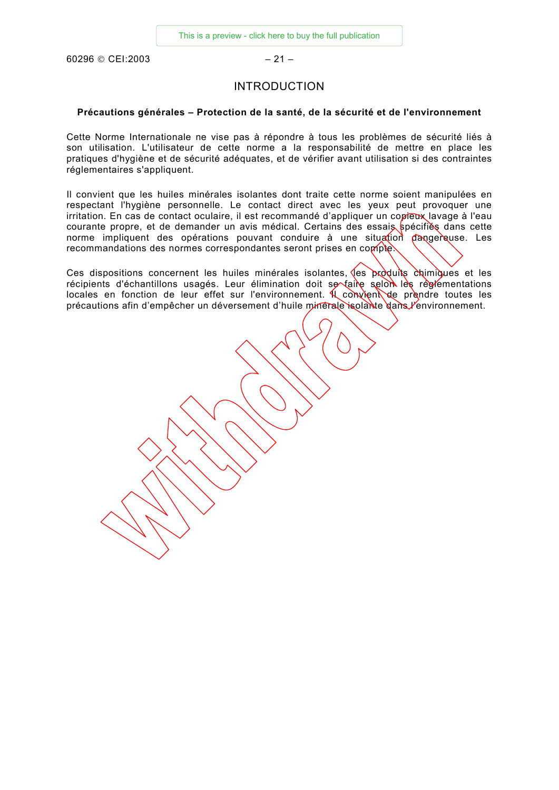<span id="page-10-0"></span> $60296$  © CFI:2003 – 21 –

#### INTRODUCTION

#### **Précautions générales – Protection de la santé, de la sécurité et de l'environnement**

Cette Norme Internationale ne vise pas à répondre à tous les problèmes de sécurité liés à son utilisation. L'utilisateur de cette norme a la responsabilité de mettre en place les pratiques d'hygiène et de sécurité adéquates, et de vérifier avant utilisation si des contraintes réglementaires s'appliquent.

Il convient que les huiles minérales isolantes dont traite cette norme soient manipulées en respectant l'hygiène personnelle. Le contact direct avec les yeux peut provoquer une irritation. En cas de contact oculaire, il est recommandé d'appliquer un copieux lavage à l'eau courante propre, et de demander un avis médical. Certains des essais spécifiés dans cette norme impliquent des opérations pouvant conduire à une situation dangereuse. Les recommandations des normes correspondantes seront prises en compte.

Ces dispositions concernent les huiles minérales isolantes, les produits chimiques et les récipients d'échantillons usagés. Leur élimination doit se faire selon les réglementations locales en fonction de leur effet sur l'environnement. Il convient de prendre toutes les précautions afin d'empêcher un déversement d'huile minérale isolante dans l'environnement.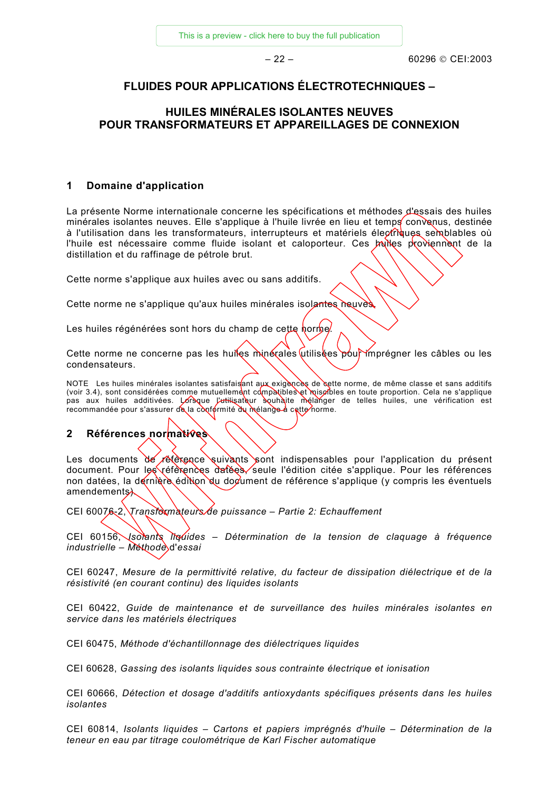#### <span id="page-11-0"></span>**FLUIDES POUR APPLICATIONS ÉLECTROTECHNIQUES –**

#### **HUILES MINÉRALES ISOLANTES NEUVES POUR TRANSFORMATEURS ET APPAREILLAGES DE CONNEXION**

#### **1 Domaine d'application**

La présente Norme internationale concerne les spécifications et méthodes d'essais des huiles minérales isolantes neuves. Elle s'applique à l'huile livrée en lieu et temps convenus, destinée à l'utilisation dans les transformateurs, interrupteurs et matériels électriques semplables où l'huile est nécessaire comme fluide isolant et caloporteur. Ces huiles proviennent de la distillation et du raffinage de pétrole brut.

Cette norme s'applique aux huiles avec ou sans additifs.

Cette norme ne s'applique qu'aux huiles minérales isolantes neuves

Les huiles régénérées sont hors du champ de cette norme.

Cette norme ne concerne pas les huiles minérales utilisées pour imprégner les câbles ou les condensateurs.

NOTE Les huiles minérales isolantes satisfais ant aux exigences de cette norme, de même classe et sans additifs (voir 3.4), sont considérées comme mutuellement compatibles et miscibles en toute proportion. Cela ne s'applique pas aux huiles additivées. Lorsque l'attilisateur souhaite mélanger de telles huiles, une vérification est recommandée pour s'assurer de la cònformité du mélange à cette⁄norme.

#### **2 Références normatives**

Les documents de référence suivants sont indispensables pour l'application du présent document. Pour les références datées, seule l'édition citée s'applique. Pour les références non datées, la dernière édition du document de référence s'applique (y compris les éventuels amendements)

CEI 60076-2, *Transformateurs de puissance – Partie 2: Echauffement*

CEI 60156, *Isolants liquides – Détermination de la tension de claquage à fréquence industrielle – Méthode* d'*essai* 

CEI 60247, *Mesure de la permittivité relative, du facteur de dissipation diélectrique et de la résistivité (en courant continu) des liquides isolants*

CEI 60422, *Guide de maintenance et de surveillance des huiles minérales isolantes en service dans les matériels électriques*

CEI 60475, *Méthode d'échantillonnage des diélectriques liquides*

CEI 60628, *Gassing des isolants liquides sous contrainte électrique et ionisation*

CEI 60666, *Détection et dosage d'additifs antioxydants spécifiques présents dans les huiles isolantes* 

CEI 60814, *Isolants liquides – Cartons et papiers imprégnés d'huile – Détermination de la teneur en eau par titrage coulométrique de Karl Fischer automatique*